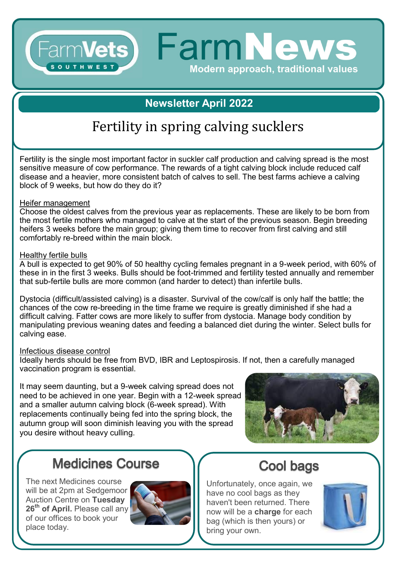### **Newsletter April 2022**

Modern approach, traditional values

FarmVets) FarmNews

# Fertility in spring calving sucklers

Fertility is the single most important factor in suckler calf production and calving spread is the most sensitive measure of cow performance. The rewards of a tight calving block include reduced calf disease and a heavier, more consistent batch of calves to sell. The best farms achieve a calving block of 9 weeks, but how do they do it?

#### Heifer management

SOUTHWEST

Choose the oldest calves from the previous year as replacements. These are likely to be born from the most fertile mothers who managed to calve at the start of the previous season. Begin breeding heifers 3 weeks before the main group; giving them time to recover from first calving and still comfortably re-breed within the main block.

#### Healthy fertile bulls

A bull is expected to get 90% of 50 healthy cycling females pregnant in a 9-week period, with 60% of these in in the first 3 weeks. Bulls should be foot-trimmed and fertility tested annually and remember that sub-fertile bulls are more common (and harder to detect) than infertile bulls.

Dystocia (difficult/assisted calving) is a disaster. Survival of the cow/calf is only half the battle; the chances of the cow re-breeding in the time frame we require is greatly diminished if she had a difficult calving. Fatter cows are more likely to suffer from dystocia. Manage body condition by manipulating previous weaning dates and feeding a balanced diet during the winter. Select bulls for calving ease.

#### Infectious disease control

Ideally herds should be free from BVD, IBR and Leptospirosis. If not, then a carefully managed vaccination program is essential.

It may seem daunting, but a 9-week calving spread does not need to be achieved in one year. Begin with a 12-week spread and a smaller autumn calving block (6-week spread). With replacements continually being fed into the spring block, the autumn group will soon diminish leaving you with the spread you desire without heavy culling.



### **Medicines Course**

The next Medicines course will be at 2pm at Sedgemoor Auction Centre on **Tuesday 26th of April.** Please call any of our offices to book your place today.



## **Cool bags**

Unfortunately, once again, we have no cool bags as they haven't been returned. There now will be a **charge** for each bag (which is then yours) or bring your own.